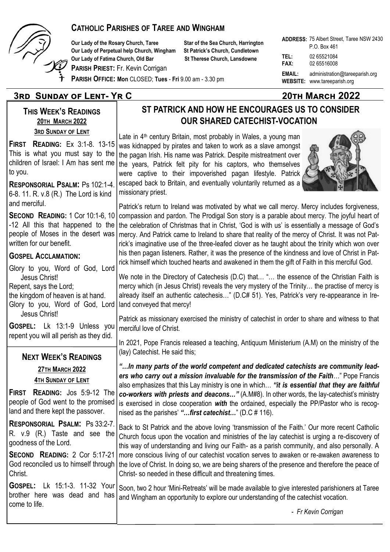

## **CATHOLIC PARISHES OF TAREE AND WINGHAM**

**Our Lady of the Rosary Church, Taree Star of the Sea Church, Harrington Our Lady of Perpetual help Church, Wingham St Patrick's Church, Cundletown Our Lady of Fatima Church, Old Bar St Therese Church, Lansdowne** 

**PARISH PRIEST:** Fr. Kevin Corrigan

**PARISH OFFICE: Mon** CLOSED; **Tues** - **Fri** 9.00 am - 3.30 pm

## **3rd Sunday of Lent- Yr C 20th March 2022**

**THIS WEEK'S READINGS 20TH MARCH 2022 3RD SUNDAY OF LENT**

**FIRST READING:** Ex 3:1-8. 13-15 This is what you must say to the children of Israel: I Am has sent me to you.

**RESPONSORIAL PSALM:** Ps 102:1-4. 6-8. 11. R. v.8 (R.) The Lord is kind and merciful.

**SECOND READING:** 1 Cor 10:1-6, 10 -12 All this that happened to the people of Moses in the desert was written for our benefit

#### **GOSPEL ACCLAMATION:**

Glory to you, Word of God, Lord Jesus Christ! Repent, says the Lord;

the kingdom of heaven is at hand. Glory to you, Word of God, Lord Jesus Christ!

**GOSPEL:** Lk 13:1-9 Unless you repent you will all perish as they did.

### **NEXT WEEK'S READINGS**

**27TH MARCH 2022 4TH SUNDAY OF LENT**

**FIRST READING:** Jos 5:9-12 The people of God went to the promised land and there kept the passover.

**RESPONSORIAL PSALM:** Ps 33:2-7. R. v.9 (R.) Taste and see the goodness of the Lord.

**SECOND READING:** 2 Cor 5:17-21 God reconciled us to himself through Christ.

**GOSPEL:** Lk 15:1-3. 11-32 Your brother here was dead and has come to life.

**ADDRESS:**  75 Albert Street, Taree NSW 2430 **TEL:** 02 65521084 **FAX:** 02 65516008 **EMAIL:** administration@tareeparish.org **WEBSITE:** www.tareeparish.org P.O. Box 461

# **ST PATRICK AND HOW HE ENCOURAGES US TO CONSIDER OUR SHARED CATECHIST-VOCATION**

Late in 4<sup>th</sup> century Britain, most probably in Wales, a young man was kidnapped by pirates and taken to work as a slave amongst the pagan Irish. His name was Patrick. Despite mistreatment over the years, Patrick felt pity for his captors, who themselves were captive to their impoverished pagan lifestyle. Patrick escaped back to Britain, and eventually voluntarily returned as a missionary priest.



We note in the Directory of Catechesis (D.C) that… "… the essence of the Christian Faith is mercy which (in Jesus Christ) reveals the very mystery of the Trinity… the practise of mercy is already itself an authentic catechesis…" (D.C# 51). Yes, Patrick's very re-appearance in Ireland conveyed that mercy!

Patrick as missionary exercised the ministry of catechist in order to share and witness to that merciful love of Christ.

In 2021, Pope Francis released a teaching, Antiquum Ministerium (A.M) on the ministry of the (lay) Catechist. He said this;

*"…In many parts of the world competent and dedicated catechists are community leaders who carry out a mission invaluable for the transmission of the Faith*…" Pope Francis also emphasizes that this Lay ministry is one in which… *"it is essential that they are faithful co-workers with priests and deacons…"* (A.M#8). In other words, the lay-catechist's ministry is exercised in close cooperation *with* the ordained, especially the PP/Pastor who is recognised as the parishes' *"…first catechist…*" (D.C # 116).

Back to St Patrick and the above loving 'transmission of the Faith.' Our more recent Catholic Church focus upon the vocation and ministries of the lay catechist is urging a re-discovery of this way of understanding and living our Faith- as a parish community, and also personally. A more conscious living of our catechist vocation serves to awaken or re-awaken awareness to the love of Christ. In doing so, we are being sharers of the presence and therefore the peace of Christ- so needed in these difficult and threatening times.

Soon, two 2 hour 'Mini-Retreats' will be made available to give interested parishioners at Taree and Wingham an opportunity to explore our understanding of the catechist vocation.

- *Fr Kevin Corrigan*